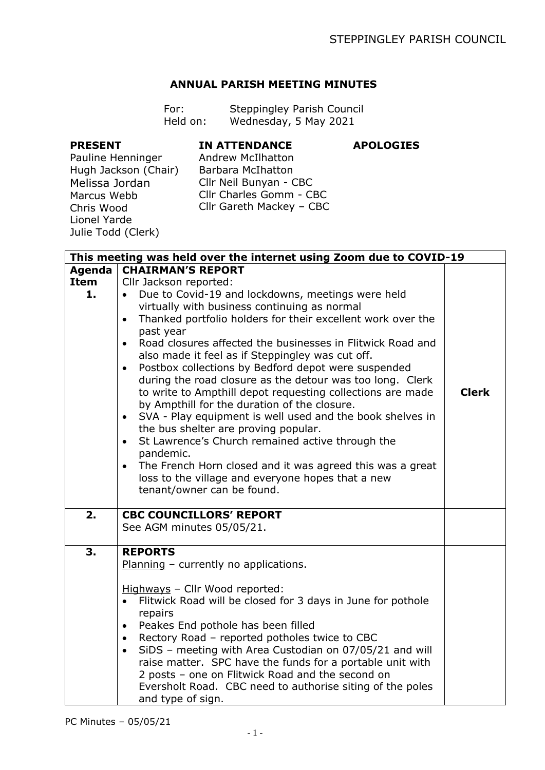**APOLOGIES**

## **ANNUAL PARISH MEETING MINUTES**

| For:     | Steppingley Parish Council |
|----------|----------------------------|
| Held on: | Wednesday, 5 May 2021      |

## **PRESENT**

## **IN ATTENDANCE**

Pauline Henninger Hugh Jackson (Chair) Melissa Jordan Marcus Webb Chris Wood Lionel Yarde Julie Todd (Clerk)

Andrew McIlhatton Barbara McIhatton Cllr Neil Bunyan - CBC Cllr Charles Gomm - CBC Cllr Gareth Mackey – CBC

| This meeting was held over the internet using Zoom due to COVID-19 |                                                                          |              |  |  |
|--------------------------------------------------------------------|--------------------------------------------------------------------------|--------------|--|--|
| Agenda                                                             | <b>CHAIRMAN'S REPORT</b>                                                 |              |  |  |
| <b>Item</b>                                                        | Cllr Jackson reported:                                                   |              |  |  |
| 1.                                                                 | Due to Covid-19 and lockdowns, meetings were held                        |              |  |  |
|                                                                    | virtually with business continuing as normal                             |              |  |  |
|                                                                    | Thanked portfolio holders for their excellent work over the<br>$\bullet$ |              |  |  |
|                                                                    | past year                                                                |              |  |  |
|                                                                    | Road closures affected the businesses in Flitwick Road and<br>$\bullet$  |              |  |  |
|                                                                    | also made it feel as if Steppingley was cut off.                         |              |  |  |
|                                                                    | Postbox collections by Bedford depot were suspended<br>$\bullet$         |              |  |  |
|                                                                    | during the road closure as the detour was too long. Clerk                |              |  |  |
|                                                                    | to write to Ampthill depot requesting collections are made               | <b>Clerk</b> |  |  |
|                                                                    | by Ampthill for the duration of the closure.                             |              |  |  |
|                                                                    | SVA - Play equipment is well used and the book shelves in<br>$\bullet$   |              |  |  |
|                                                                    | the bus shelter are proving popular.                                     |              |  |  |
|                                                                    | St Lawrence's Church remained active through the<br>$\bullet$            |              |  |  |
|                                                                    | pandemic.                                                                |              |  |  |
|                                                                    | The French Horn closed and it was agreed this was a great<br>$\bullet$   |              |  |  |
|                                                                    | loss to the village and everyone hopes that a new                        |              |  |  |
|                                                                    | tenant/owner can be found.                                               |              |  |  |
| 2.                                                                 | <b>CBC COUNCILLORS' REPORT</b>                                           |              |  |  |
|                                                                    | See AGM minutes 05/05/21.                                                |              |  |  |
|                                                                    |                                                                          |              |  |  |
| 3.                                                                 | <b>REPORTS</b>                                                           |              |  |  |
|                                                                    | Planning - currently no applications.                                    |              |  |  |
|                                                                    |                                                                          |              |  |  |
|                                                                    | Highways - Cllr Wood reported:                                           |              |  |  |
|                                                                    | Flitwick Road will be closed for 3 days in June for pothole<br>$\bullet$ |              |  |  |
|                                                                    | repairs                                                                  |              |  |  |
|                                                                    | Peakes End pothole has been filled<br>$\bullet$                          |              |  |  |
|                                                                    | • Rectory Road - reported potholes twice to CBC                          |              |  |  |
|                                                                    | SiDS - meeting with Area Custodian on 07/05/21 and will<br>$\bullet$     |              |  |  |
|                                                                    | raise matter. SPC have the funds for a portable unit with                |              |  |  |
|                                                                    | 2 posts - one on Flitwick Road and the second on                         |              |  |  |
|                                                                    | Eversholt Road. CBC need to authorise siting of the poles                |              |  |  |
|                                                                    | and type of sign.                                                        |              |  |  |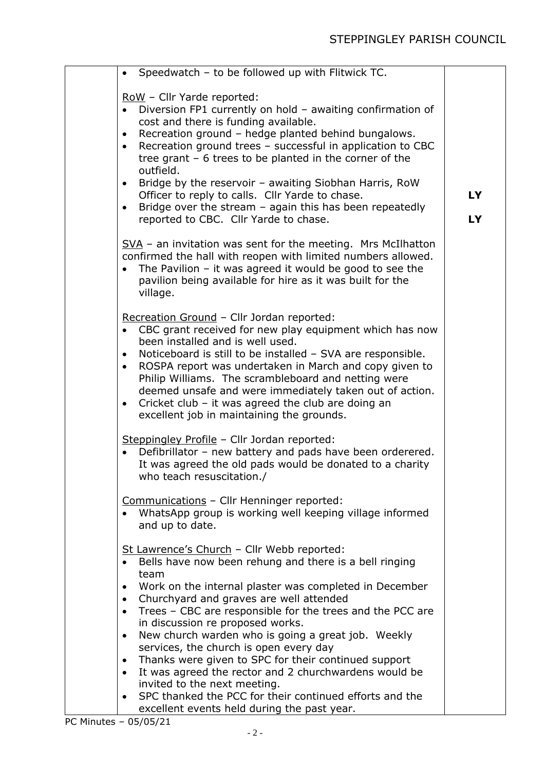| Speedwatch - to be followed up with Flitwick TC.<br>$\bullet$                                                                                                                                                                                                                                                                                                                                                                                                                                                                                                                                                                                                                                                                                                            |          |
|--------------------------------------------------------------------------------------------------------------------------------------------------------------------------------------------------------------------------------------------------------------------------------------------------------------------------------------------------------------------------------------------------------------------------------------------------------------------------------------------------------------------------------------------------------------------------------------------------------------------------------------------------------------------------------------------------------------------------------------------------------------------------|----------|
| RoW - Cllr Yarde reported:<br>Diversion FP1 currently on hold - awaiting confirmation of<br>$\bullet$<br>cost and there is funding available.<br>Recreation ground - hedge planted behind bungalows.<br>$\bullet$<br>Recreation ground trees - successful in application to CBC<br>$\bullet$<br>tree grant $-6$ trees to be planted in the corner of the<br>outfield.<br>Bridge by the reservoir - awaiting Siobhan Harris, RoW<br>Officer to reply to calls. Cllr Yarde to chase.<br>Bridge over the stream $-$ again this has been repeatedly<br>$\bullet$<br>reported to CBC. Cllr Yarde to chase.                                                                                                                                                                    | LY<br>LY |
| SVA - an invitation was sent for the meeting. Mrs McIlhatton<br>confirmed the hall with reopen with limited numbers allowed.<br>The Pavilion $-$ it was agreed it would be good to see the<br>pavilion being available for hire as it was built for the<br>village.                                                                                                                                                                                                                                                                                                                                                                                                                                                                                                      |          |
| Recreation Ground - Cllr Jordan reported:<br>CBC grant received for new play equipment which has now<br>been installed and is well used.<br>Noticeboard is still to be installed - SVA are responsible.<br>$\bullet$<br>ROSPA report was undertaken in March and copy given to<br>$\bullet$<br>Philip Williams. The scrambleboard and netting were<br>deemed unsafe and were immediately taken out of action.<br>Cricket club - it was agreed the club are doing an<br>$\bullet$<br>excellent job in maintaining the grounds.                                                                                                                                                                                                                                            |          |
| Steppingley Profile - Cllr Jordan reported:<br>Defibrillator - new battery and pads have been orderered.<br>It was agreed the old pads would be donated to a charity<br>who teach resuscitation./                                                                                                                                                                                                                                                                                                                                                                                                                                                                                                                                                                        |          |
| Communications - Cllr Henninger reported:<br>WhatsApp group is working well keeping village informed<br>and up to date.                                                                                                                                                                                                                                                                                                                                                                                                                                                                                                                                                                                                                                                  |          |
| St Lawrence's Church - Cllr Webb reported:<br>Bells have now been rehung and there is a bell ringing<br>team<br>Work on the internal plaster was completed in December<br>$\bullet$<br>Churchyard and graves are well attended<br>$\bullet$<br>Trees - CBC are responsible for the trees and the PCC are<br>$\bullet$<br>in discussion re proposed works.<br>New church warden who is going a great job. Weekly<br>$\bullet$<br>services, the church is open every day<br>Thanks were given to SPC for their continued support<br>$\bullet$<br>It was agreed the rector and 2 churchwardens would be<br>$\bullet$<br>invited to the next meeting.<br>SPC thanked the PCC for their continued efforts and the<br>$\bullet$<br>excellent events held during the past year. |          |